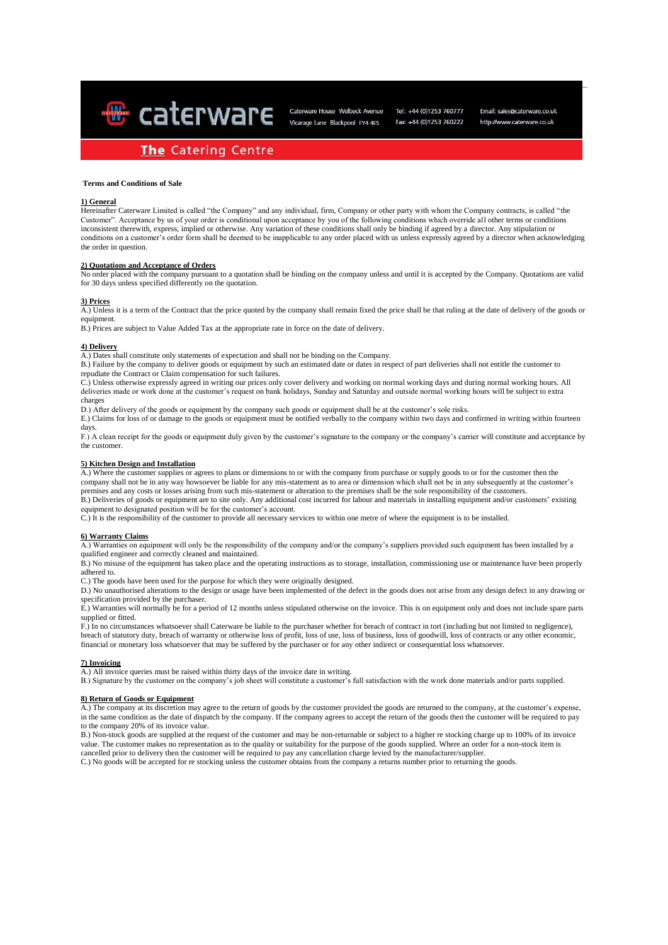**&** caterware

Caterware House Welbeck Avenue Vicarage Lane Blackpool FY4 4ES

Tel: +44 (0)1253 760777 Fax: +44 (0)1253 760222

Email: sales@caterware.co.uk http://www.caterware.co.uk

# **The Catering Centre**

# **Terms and Conditions of Sale**

### **1) General**

Hereinafter Caterware Limited is called "the Company" and any individual, firm, Company or other party with whom the Company contracts, is called "the Customer". Acceptance by us of your order is conditional upon acceptance by you of the following conditions which override all other terms or conditions inconsistent therewith, express, implied or otherwise. Any variation of these conditions shall only be binding if agreed by a director. Any stipulation or conditions on a customer's order form shall be deemed to be inapplicable to any order placed with us unless expressly agreed by a director when acknowledging the order in question.

### **2) Quotations and Acceptance of Orders**

No order placed with the company pursuant to a quotation shall be binding on the company unless and until it is accepted by the Company. Quotations are valid for 30 days unless specified differently on the quotation.

#### **3) Prices**

A.) Unless it is a term of the Contract that the price quoted by the company shall remain fixed the price shall be that ruling at the date of delivery of the goods or equipment.

B.) Prices are subject to Value Added Tax at the appropriate rate in force on the date of delivery.

#### **4) Delivery**

A.) Dates shall constitute only statements of expectation and shall not be binding on the Company.

B.) Failure by the company to deliver goods or equipment by such an estimated date or dates in respect of part deliveries shall not entitle the customer to repudiate the Contract or Claim compensation for such failures.

C.) Unless otherwise expressly agreed in writing our prices only cover delivery and working on normal working days and during normal working hours. All deliveries made or work done at the customer's request on bank holidays, Sunday and Saturday and outside normal working hours will be subject to extra charges

D.) After delivery of the goods or equipment by the company such goods or equipment shall be at the customer's sole risks.

E.) Claims for loss of or damage to the goods or equipment must be notified verbally to the company within two days and confirmed in writing within fourteen days.

F.) A clean receipt for the goods or equipment duly given by the customer's signature to the company or the company's carrier will constitute and acceptance by the customer.

## **5) Kitchen Design and Installation**

A.) Where the customer supplies or agrees to plans or dimensions to or with the company from purchase or supply goods to or for the customer then the company shall not be in any way howsoever be liable for any mis-statement as to area or dimension which shall not be in any subsequently at the customer's premises and any costs or losses arising from such mis-statement or alteration to the premises shall be the sole responsibility of the customers. B.) Deliveries of goods or equipment are to site only. Any additional cost incurred for labour and materials in installing equipment and/or customers' existing equipment to designated position will be for the customer's account.

C.) It is the responsibility of the customer to provide all necessary services to within one metre of where the equipment is to be installed.

## **6) Warranty Claims**

A.) Warranties on equipment will only be the responsibility of the company and/or the company's suppliers provided such equipment has been installed by a qualified engineer and correctly cleaned and maintained.

B.) No misuse of the equipment has taken place and the operating instructions as to storage, installation, commissioning use or maintenance have been properly adhered to.

C.) The goods have been used for the purpose for which they were originally designed.

D.) No unauthorised alterations to the design or usage have been implemented of the defect in the goods does not arise from any design defect in any drawing or specification provided by the purchaser.

E.) Warranties will normally be for a period of 12 months unless stipulated otherwise on the invoice. This is on equipment only and does not include spare parts supplied or fitted.

F.) In no circumstances whatsoever shall Caterware be liable to the purchaser whether for breach of contract in tort (including but not limited to negligence), breach of statutory duty, breach of warranty or otherwise loss of profit, loss of use, loss of business, loss of goodwill, loss of contracts or any other economic, financial or monetary loss whatsoever that may be suffered by the purchaser or for any other indirect or consequential loss whatsoever.

#### **7) Invoicing**

A.) All invoice queries must be raised within thirty days of the invoice date in writing.

B.) Signature by the customer on the company's job sheet will constitute a customer's full satisfaction with the work done materials and/or parts supplied.

#### **8) Return of Goods or Equipment**

A.) The company at its discretion may agree to the return of goods by the customer provided the goods are returned to the company, at the customer's expense, in the same condition as the date of dispatch by the company. If the company agrees to accept the return of the goods then the customer will be required to pay to the company 20% of its invoice value.

B.) Non-stock goods are supplied at the request of the customer and may be non-returnable or subject to a higher re stocking charge up to 100% of its invoice value. The customer makes no representation as to the quality or suitability for the purpose of the goods supplied. Where an order for a non-stock item is cancelled prior to delivery then the customer will be required to pay any cancellation charge levied by the manufacturer/supplier.

C.) No goods will be accepted for re stocking unless the customer obtains from the company a returns number prior to returning the goods.